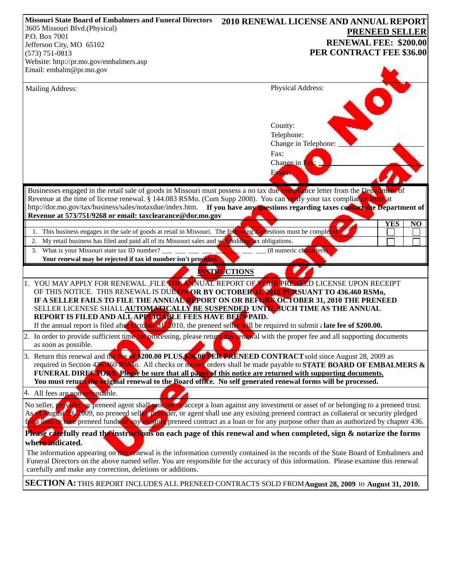| <b>Missouri State Board of Embalmers and Funeral Directors</b>                                                                           | <b>2010 RENEWAL LICENSE AND ANNUAL REPORT</b>                                                                                                                                                                                                                             |
|------------------------------------------------------------------------------------------------------------------------------------------|---------------------------------------------------------------------------------------------------------------------------------------------------------------------------------------------------------------------------------------------------------------------------|
| 3605 Missouri Blvd.(Physical)                                                                                                            | <b>PRENEED SELLER</b>                                                                                                                                                                                                                                                     |
| P.O. Box 7001                                                                                                                            | <b>RENEWAL FEE: \$200.00</b>                                                                                                                                                                                                                                              |
| Jefferson City, MO 65102<br>$(573) 751 - 0813$                                                                                           | PER CONTRACT FEE \$36.00                                                                                                                                                                                                                                                  |
| Website: http://pr.mo.gov/embalmers.asp                                                                                                  |                                                                                                                                                                                                                                                                           |
| Email: embalm@pr.mo.gov                                                                                                                  |                                                                                                                                                                                                                                                                           |
|                                                                                                                                          |                                                                                                                                                                                                                                                                           |
| Mailing Address:                                                                                                                         | Physical Address:                                                                                                                                                                                                                                                         |
|                                                                                                                                          |                                                                                                                                                                                                                                                                           |
|                                                                                                                                          | County:                                                                                                                                                                                                                                                                   |
|                                                                                                                                          | Telephone:                                                                                                                                                                                                                                                                |
|                                                                                                                                          | Change in Telephone:                                                                                                                                                                                                                                                      |
|                                                                                                                                          | Fax:<br>Change in Fax:                                                                                                                                                                                                                                                    |
|                                                                                                                                          |                                                                                                                                                                                                                                                                           |
|                                                                                                                                          | Email:                                                                                                                                                                                                                                                                    |
| Businesses engaged in the retail sale of goods in Missouri must possess a no tax due compliance letter from the Department of            |                                                                                                                                                                                                                                                                           |
| Revenue at the time of license renewal. § 144.083 RSMo. (Cum Supp 2008). You can verify your tax compliance letter at                    |                                                                                                                                                                                                                                                                           |
|                                                                                                                                          | http://dor.mo.gov/tax/business/sales/notaxdue/index.htm. If you have any questions regarding taxes contact the Department of                                                                                                                                              |
| Revenue at 573/751/9268 or email: taxclearance@dor.mo.gov                                                                                |                                                                                                                                                                                                                                                                           |
|                                                                                                                                          | <b>YES</b><br>$\overline{NQ}$                                                                                                                                                                                                                                             |
| This business engages in the sale of goods at retail in Missouri. The following $2$ questions must be completed.<br>1.                   |                                                                                                                                                                                                                                                                           |
| My retail business has filed and paid all of its Missouri sales and withholding tax obligations.<br>2.                                   |                                                                                                                                                                                                                                                                           |
| What is your Missouri state tax ID number?<br>3.<br>Your renewal may be rejected if tax id number isn't provided.                        | (8 numeric characters)                                                                                                                                                                                                                                                    |
|                                                                                                                                          |                                                                                                                                                                                                                                                                           |
|                                                                                                                                          | <b>INSTRUCTIONS</b>                                                                                                                                                                                                                                                       |
| 1. YOU MAY APPLY FOR RENEWAL FILE THE ANNUAL REPORT OF YOUR PRENEED LICENSE UPON RECEIPT                                                 |                                                                                                                                                                                                                                                                           |
| OF THIS NOTICE. THIS RENEWAL IS DUE ON OR BY OCTOBER 31, 2010 PURSUANT TO 436.460 RSMo,                                                  |                                                                                                                                                                                                                                                                           |
| IF A SELLER FAILS TO FILE THE ANNUAL REPORT ON OR BEFORE OCTOBER 31, 2010 THE PRENEED                                                    |                                                                                                                                                                                                                                                                           |
| SELLER LICENESE SHALLAUTOMATICALLY BE SUSPENDED UNTIL SUCH TIME AS THE ANNUAL<br>REPORT IS FILED AND ALL APPLICABLE FEES HAVE BEEN PAID. |                                                                                                                                                                                                                                                                           |
| If the annual report is filed after October 31, 2010, the preneed seller will be required to submit a late fee of \$200.00.              |                                                                                                                                                                                                                                                                           |
| 2. In order to provide sufficient time for processing, please return this renewal with the proper fee and all supporting documents       |                                                                                                                                                                                                                                                                           |
| as soon as possible.                                                                                                                     |                                                                                                                                                                                                                                                                           |
| 3. Return this renewal and the ree of \$200.00 PLUS \$36.00 PER PRENEED CONTRACT sold since August 28, 2009 as                           |                                                                                                                                                                                                                                                                           |
|                                                                                                                                          | required in Section 436.460 RSMo. All checks or money orders shall be made payable to <b>STATE BOARD OF EMBALMERS &amp;</b>                                                                                                                                               |
| FUNERAL DIRECTORS. Please be sure that all pages of this notice are returned with supporting documents.                                  |                                                                                                                                                                                                                                                                           |
| You must return the original renewal to the Board office. No self generated renewal forms will be processed.                             |                                                                                                                                                                                                                                                                           |
| 4. All fees are non-refundable.                                                                                                          |                                                                                                                                                                                                                                                                           |
|                                                                                                                                          | No seller, provider, or preneed agent shall procure or accept a loan against any investment or asset of or belonging to a preneed trust.                                                                                                                                  |
|                                                                                                                                          | As of August 29, 2009, no preneed seller, provider, or agent shall use any existing preneed contract as collateral or security pledged                                                                                                                                    |
|                                                                                                                                          | for a loan or take preneed funds of any existing preneed contract as a loan or for any purpose other than as authorized by chapter 436.                                                                                                                                   |
|                                                                                                                                          | Please carefully read the instructions on each page of this renewal and when completed, sign & notarize the forms                                                                                                                                                         |
| where indicated.                                                                                                                         |                                                                                                                                                                                                                                                                           |
|                                                                                                                                          |                                                                                                                                                                                                                                                                           |
|                                                                                                                                          | The information appearing on this renewal is the information currently contained in the records of the State Board of Embalmers and<br>Funeral Directors on the above named seller. You are responsible for the accuracy of this information. Please examine this renewal |
| carefully and make any correction, deletions or additions.                                                                               |                                                                                                                                                                                                                                                                           |
|                                                                                                                                          |                                                                                                                                                                                                                                                                           |

SECTION A: THIS REPORT INCLUDES ALL PRENEED CONTRACTS SOLD FROMAugust 28, 2009 to August 31, 2010.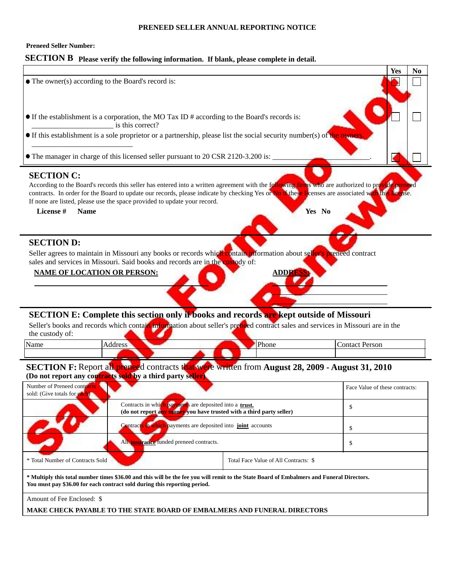### **PRENEED SELLER ANNUAL REPORTING NOTICE**

## **Preneed Seller Number:**

# **SECTION B Please verify the following information. If blank, please complete in detail.**

| • The owner(s) according to the Board's record is:                  |                                                                                                                                 |                                                                                                                                                                                                                                                                                                                  | <b>Yes</b><br>N <sub>0</sub>   |  |  |
|---------------------------------------------------------------------|---------------------------------------------------------------------------------------------------------------------------------|------------------------------------------------------------------------------------------------------------------------------------------------------------------------------------------------------------------------------------------------------------------------------------------------------------------|--------------------------------|--|--|
|                                                                     |                                                                                                                                 |                                                                                                                                                                                                                                                                                                                  |                                |  |  |
|                                                                     | • If the establishment is a corporation, the MO Tax ID # according to the Board's records is:<br>is this correct?               |                                                                                                                                                                                                                                                                                                                  |                                |  |  |
|                                                                     |                                                                                                                                 | • If this establishment is a sole proprietor or a partnership, please list the social security number(s) of the owners.                                                                                                                                                                                          |                                |  |  |
|                                                                     | • The manager in charge of this licensed seller pursuant to 20 CSR 2120-3.200 is:                                               |                                                                                                                                                                                                                                                                                                                  |                                |  |  |
| <b>SECTION C:</b><br>License #<br><b>Name</b>                       | If none are listed, please use the space provided to update your record.                                                        | According to the Board's records this seller has entered into a written agreement with the following firms who are authorized to provide preneed<br>contracts. In order for the Board to update our records, please indicate by checking Yes or No if these licenses are associated with this license.<br>Yes No |                                |  |  |
| <b>SECTION D:</b><br><b>NAME OF LOCATION OR PERSON:</b>             | sales and services in Missouri. Said books and records are in the custody of:                                                   | Seller agrees to maintain in Missouri any books or records which contain information about seller's preneed contract<br><b>ADDRESS</b>                                                                                                                                                                           |                                |  |  |
| the custody of:                                                     |                                                                                                                                 | SECTION E: Complete this section only if books and records are kept outside of Missouri<br>Seller's books and records which contain information about seller's prenced contract sales and services in Missouri are in the                                                                                        |                                |  |  |
| Name                                                                | Address                                                                                                                         | Phone                                                                                                                                                                                                                                                                                                            | <b>Contact Person</b>          |  |  |
|                                                                     | (Do not report any contracts sold by a third party seller)                                                                      | SECTION F: Report all preneed contracts that were written from August 28, 2009 - August 31, 2010                                                                                                                                                                                                                 |                                |  |  |
| Number of Preneed contracts<br>sold: (Give totals for each)         |                                                                                                                                 |                                                                                                                                                                                                                                                                                                                  | Face Value of these contracts: |  |  |
|                                                                     | Contracts in which payments are deposited into a trust.<br>(do not report any money you have trusted with a third party seller) |                                                                                                                                                                                                                                                                                                                  | \$                             |  |  |
| Contracts in which payments are deposited into joint accounts<br>\$ |                                                                                                                                 |                                                                                                                                                                                                                                                                                                                  |                                |  |  |
|                                                                     | All <b>insurance</b> funded preneed contracts.                                                                                  |                                                                                                                                                                                                                                                                                                                  | \$                             |  |  |
| * Total Number of Contracts Sold                                    |                                                                                                                                 | Total Face Value of All Contracts: \$                                                                                                                                                                                                                                                                            |                                |  |  |
|                                                                     | You must pay \$36.00 for each contract sold during this reporting period.                                                       | * Multiply this total number times \$36.00 and this will be the fee you will remit to the State Board of Embalmers and Funeral Directors.                                                                                                                                                                        |                                |  |  |
| Amount of Fee Enclosed: \$                                          |                                                                                                                                 |                                                                                                                                                                                                                                                                                                                  |                                |  |  |
|                                                                     | <b>MAKE CHECK PAYABLE TO THE STATE BOARD OF EMBALMERS AND FUNERAL DIRECTORS</b>                                                 |                                                                                                                                                                                                                                                                                                                  |                                |  |  |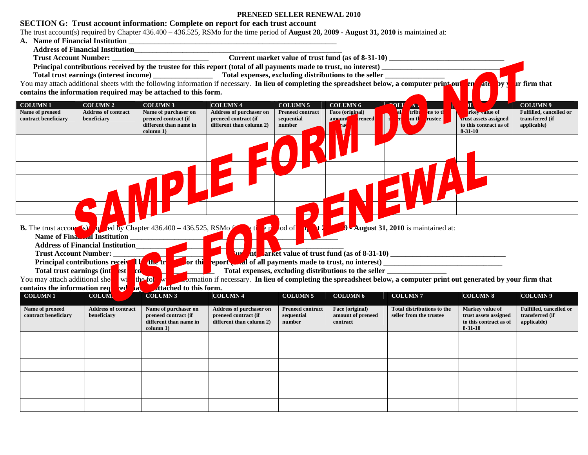## **SECTION G: Trust account information: Complete on report for each trust account**

The trust account(s) required by Chapter 436.400 – 436.525, RSMo for the time period of **August 28, 2009 - August 31, 2010** is maintained at: **Name of Financial Institution** \_\_\_\_\_\_\_\_\_\_\_\_\_\_\_\_\_\_\_\_\_\_\_\_\_\_\_\_\_\_\_\_\_\_\_\_\_\_\_\_\_\_\_\_\_\_\_\_\_\_\_\_\_\_\_\_

- A. Name of Financial Institution
- **Address of Financial Institution**\_\_\_\_\_\_\_\_\_\_\_\_\_\_\_\_\_\_\_\_\_\_\_\_\_\_\_\_\_\_\_\_\_\_\_\_\_\_\_\_\_\_\_\_\_\_\_\_\_\_\_\_\_\_\_\_

**Trust Account Number:** \_\_\_\_\_\_\_\_\_\_\_\_\_\_\_\_\_\_\_\_\_\_\_\_\_\_ **Current market value of trust fund (as of 8-31-10) \_\_\_\_\_\_\_\_\_\_\_\_\_\_\_\_\_\_\_\_\_\_\_\_\_\_\_\_\_\_\_**

**Principal contributions received by the trustee for this report (total of all payments made to trust, no interest) Total trust earnings (interest income) Total expenses, excluding distributions to the seller** 

You may attach additional sheets with the following information if necessary. **In lieu of completing the spreadsheet below, a computer print out and all all by your firm that contains the information required may be attached to this form.** 

| <b>COLUMN1</b>                | <b>COLUMN 2</b>                            | <b>COLUMN 3</b>                                                                       | <b>COLUMN4</b>                                         | <b>COLUMN 5</b>         | <b>COLUMN 6</b>                                       | ن ۱۸.                                                                                                                  | $\bf{L}$                                | <b>COLUMN9</b>                 |
|-------------------------------|--------------------------------------------|---------------------------------------------------------------------------------------|--------------------------------------------------------|-------------------------|-------------------------------------------------------|------------------------------------------------------------------------------------------------------------------------|-----------------------------------------|--------------------------------|
| Name of preneed               | <b>Address of contract</b>                 | Name of purchaser on                                                                  | <b>Address of purchaser on</b>                         | <b>Preneed contract</b> | Face (original)                                       | al<br>I<br>tribu<br>ns to the                                                                                          | rkey value of                           | Fulfilled, cancelled or        |
| contract beneficiary          | beneficiary                                | preneed contract (if                                                                  | preneed contract (if                                   | sequential              | reneed<br>amount                                      | mth<br>rustee                                                                                                          | <b>trust assets assigned</b>            | transferred (if                |
|                               |                                            | different than name in<br>column 1)                                                   | different than column 2)                               | number                  |                                                       |                                                                                                                        | to this contract as of<br>$8 - 31 - 10$ | applicable)                    |
|                               |                                            |                                                                                       |                                                        |                         |                                                       |                                                                                                                        |                                         |                                |
|                               |                                            |                                                                                       |                                                        |                         |                                                       |                                                                                                                        |                                         |                                |
|                               |                                            |                                                                                       |                                                        |                         |                                                       |                                                                                                                        |                                         |                                |
|                               |                                            |                                                                                       |                                                        |                         |                                                       |                                                                                                                        |                                         |                                |
|                               |                                            |                                                                                       |                                                        |                         |                                                       |                                                                                                                        |                                         |                                |
|                               |                                            |                                                                                       |                                                        |                         |                                                       |                                                                                                                        |                                         |                                |
|                               |                                            |                                                                                       |                                                        |                         |                                                       |                                                                                                                        |                                         |                                |
|                               |                                            |                                                                                       |                                                        |                         |                                                       |                                                                                                                        |                                         |                                |
|                               |                                            |                                                                                       |                                                        |                         |                                                       |                                                                                                                        |                                         |                                |
|                               |                                            |                                                                                       |                                                        |                         |                                                       |                                                                                                                        |                                         |                                |
|                               |                                            |                                                                                       |                                                        |                         |                                                       |                                                                                                                        |                                         |                                |
|                               |                                            |                                                                                       |                                                        |                         |                                                       |                                                                                                                        |                                         |                                |
|                               |                                            | <b>B.</b> The trust accounts of $\frac{1}{2}$ ed by Chapter 436.400 – 436.525, RSMo f | $\bullet$                                              | lod of                  |                                                       | August 31, 2010 is maintained at:                                                                                      |                                         |                                |
|                               | Name of Financial Institution              |                                                                                       |                                                        |                         |                                                       |                                                                                                                        |                                         |                                |
|                               | <b>Address of Financial Institution</b>    |                                                                                       |                                                        |                         |                                                       |                                                                                                                        |                                         |                                |
| <b>Trust Account Number:</b>  |                                            |                                                                                       | <b>ND</b>                                              |                         |                                                       |                                                                                                                        |                                         |                                |
|                               | <b>Principal contributions received by</b> | the tr<br><b>or</b> thi                                                               | report and of all payments made to trust, no interest) |                         |                                                       |                                                                                                                        |                                         |                                |
| Total trust earnings (int     | <b>co</b><br>est                           |                                                                                       |                                                        |                         | Total expenses, excluding distributions to the seller |                                                                                                                        |                                         |                                |
| You may attach additional she | w                                          | $\mathbf{w}$<br>the fol                                                               |                                                        |                         |                                                       | correction if necessary. In lieu of completing the spreadsheet below, a computer print out generated by your firm that |                                         |                                |
| contains the information req  | <b>ed</b><br>$ {\bf a} $                   | attached to this form.                                                                |                                                        |                         |                                                       |                                                                                                                        |                                         |                                |
| <b>COLUMN1</b>                | <b>COLUM.</b>                              | <b>COLUMN 3</b>                                                                       | <b>COLUMN 4</b>                                        | <b>COLUMN 5</b>         | <b>COLUMN 6</b>                                       | <b>COLUMN7</b>                                                                                                         | <b>COLUMN 8</b>                         | COLUMN <sub>9</sub>            |
|                               |                                            |                                                                                       |                                                        |                         |                                                       |                                                                                                                        |                                         |                                |
| Name of preneed               | <b>Address of contract</b>                 | Name of purchaser on                                                                  | <b>Address of purchaser on</b>                         | <b>Preneed contract</b> | Face (original)                                       | <b>Total distributions to the</b>                                                                                      | Markey value of                         | <b>Fulfilled, cancelled or</b> |
| contract beneficiary          | beneficiary                                | preneed contract (if                                                                  | preneed contract (if                                   | sequential              | amount of preneed                                     | seller from the trustee                                                                                                | trust assets assigned                   | transferred (if                |
|                               |                                            | different than name in                                                                | different than column 2)                               | number                  | contract                                              |                                                                                                                        | to this contract as of                  | applicable)                    |
|                               |                                            | column 1)                                                                             |                                                        |                         |                                                       |                                                                                                                        | $8 - 31 - 10$                           |                                |
|                               |                                            |                                                                                       |                                                        |                         |                                                       |                                                                                                                        |                                         |                                |
|                               |                                            |                                                                                       |                                                        |                         |                                                       |                                                                                                                        |                                         |                                |
|                               |                                            |                                                                                       |                                                        |                         |                                                       |                                                                                                                        |                                         |                                |
|                               |                                            |                                                                                       |                                                        |                         |                                                       |                                                                                                                        |                                         |                                |
|                               |                                            |                                                                                       |                                                        |                         |                                                       |                                                                                                                        |                                         |                                |
|                               |                                            |                                                                                       |                                                        |                         |                                                       |                                                                                                                        |                                         |                                |
|                               |                                            |                                                                                       |                                                        |                         |                                                       |                                                                                                                        |                                         |                                |
|                               |                                            |                                                                                       |                                                        |                         |                                                       |                                                                                                                        |                                         |                                |
|                               |                                            |                                                                                       |                                                        |                         |                                                       |                                                                                                                        |                                         |                                |
|                               |                                            |                                                                                       |                                                        |                         |                                                       |                                                                                                                        |                                         |                                |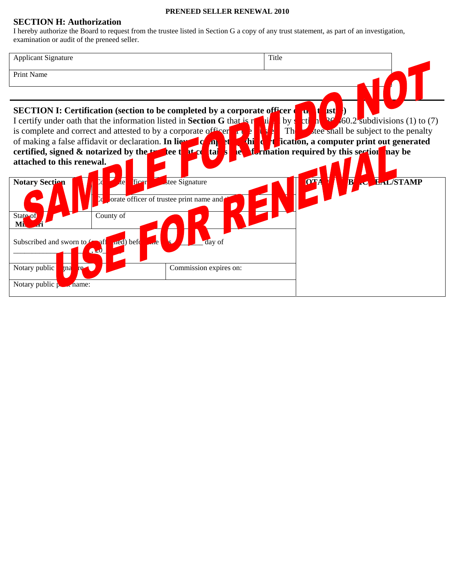## **SECTION H: Authorization**

I hereby authorize the Board to request from the trustee listed in Section G a copy of any trust statement, as part of an investigation, examination or audit of the preneed seller.

| <b>Applicant Signature</b>                                                                                                                                          | Title                                                                                                     |
|---------------------------------------------------------------------------------------------------------------------------------------------------------------------|-----------------------------------------------------------------------------------------------------------|
| Print Name                                                                                                                                                          |                                                                                                           |
|                                                                                                                                                                     |                                                                                                           |
| <b>SECTION I: Certification (section to be completed by a corporate officer</b>                                                                                     | <b>ust</b><br>$\mathbf{u}$                                                                                |
| I certify under oath that the information listed in <b>Section G</b> that is r<br>is complete and correct and attested to by a corporate of Figer<br>$\blacksquare$ | $(1)$ to $(7)$<br>ct <sub>1</sub><br>$\mathbf{v}$<br>$by \,$<br>tee shall be subject to the penalty<br>Th |
| of making a false affidavit or declaration. In lieu<br>$\mathbf{d}$<br>$\mathbf{C}$ $\mathbf{D}$<br>и<br>n                                                          | ication, a computer print out generated<br>и                                                              |
| certified, signed $\&$ notarized by the two tee that $c_0$<br>IA.<br>taj<br>attached to this renewal.                                                               | <b>ftermation required by this section has be</b>                                                         |
|                                                                                                                                                                     |                                                                                                           |
| $\overline{d}$<br><b>Notary Section</b><br>ficer<br>stee Signature<br>orate officer of trustee print name and                                                       | <b>LAL/STAMP</b><br><b>OTA</b>                                                                            |
| State of<br>County of<br><b>Mi</b>                                                                                                                                  |                                                                                                           |
| ned) befo<br>Subscribed and sworn to<br>day of<br>∖शी<br>$\sqrt{20}$                                                                                                |                                                                                                           |
| Notary public<br>gna<br>Commission expires on:<br>re-                                                                                                               |                                                                                                           |
| Notary public $\beta$ and name:                                                                                                                                     |                                                                                                           |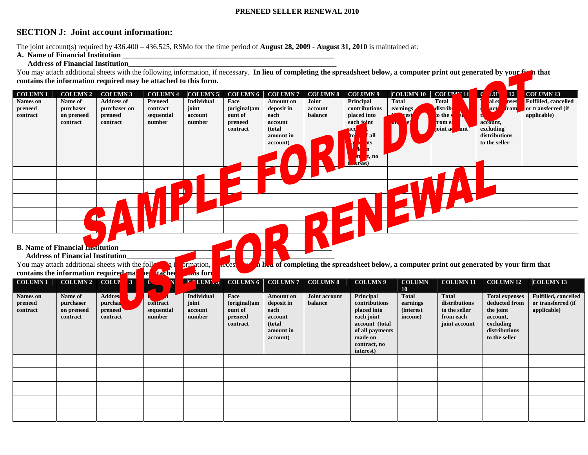## **SECTION J: Joint account information:**

The joint account(s) required by 436.400 – 436.525, RSMo for the time period of **August 28, 2009 - August 31, 2010** is maintained at:

### **A. Name of Financial Institution \_\_\_\_\_\_\_\_\_\_\_\_\_\_\_\_\_\_\_\_\_\_\_\_\_\_\_\_\_\_\_\_\_\_\_\_\_\_\_\_\_\_\_\_\_\_\_\_\_\_\_\_\_\_\_\_\_**

## **Address of Financial Institution\_\_\_\_\_\_\_\_\_\_\_\_\_\_\_\_\_\_\_\_\_\_\_\_\_\_\_\_\_\_\_\_\_\_\_\_\_\_\_\_\_\_\_\_\_\_\_\_\_\_\_\_\_\_\_\_**

You may attach additional sheets with the following information, if necessary. In lieu of completing the spreadsheet below, a computer print out generated by your finit at **contains the information required may be attached to this form.**

| <b>COLUMN1</b><br><b>Names</b> on<br>preneed<br>contract | <b>COLUMN 2</b><br>Name of<br>purchaser<br>on preneed<br>contract | <b>COLUMN3</b><br><b>Address of</b><br>purchaser on<br>preneed<br>contract   | <b>COLUMN4</b><br><b>Preneed</b><br>contract<br>sequential<br>number | <b>COLUMN 5</b><br><b>Individual</b><br>joint<br>account<br>number | <b>COLUMN 6</b><br>Face<br>(original)am<br>ount of<br>preneed<br>contract | <b>COLUMN7</b><br><b>Amount on</b><br>deposit in<br>each<br>account<br>(total<br>amount in<br>account) | <b>COLUMN 8</b><br>Joint<br>account<br>balance | <b>COLUMN9</b><br>Principal<br>contributions<br>placed into<br>each joint<br>ıcq<br>`all<br>ıts<br>. no<br>erest)                    | <b>COLUMN 10</b><br><b>Total</b><br>earnings<br>est                         | $\overline{\mathcal{S}}$<br>$COLU^{\prime\prime\prime}$ 11<br><b>Total</b><br>distrib<br>to the s<br>rom ea<br>joint acunt | $\frac{10}{\text{al e}}$<br>$\boxed{12}$<br>nses<br><b>uct</b><br>trom<br>account,<br>excluding<br>distributions<br>to the seller | <b>COLUMN 13</b><br><b>Fulfilled, cancelled</b><br>or transferred (if<br>applicable) |
|----------------------------------------------------------|-------------------------------------------------------------------|------------------------------------------------------------------------------|----------------------------------------------------------------------|--------------------------------------------------------------------|---------------------------------------------------------------------------|--------------------------------------------------------------------------------------------------------|------------------------------------------------|--------------------------------------------------------------------------------------------------------------------------------------|-----------------------------------------------------------------------------|----------------------------------------------------------------------------------------------------------------------------|-----------------------------------------------------------------------------------------------------------------------------------|--------------------------------------------------------------------------------------|
| <b>B. Name of Financial monitoring</b>                   | <b>Address of Financial Institution</b>                           | You may attach additional sheets with the foll                               |                                                                      | prmation,                                                          | acces.                                                                    |                                                                                                        |                                                | In the of completing the spreadsheet below, a computer print out generated by your firm that                                         |                                                                             |                                                                                                                            |                                                                                                                                   |                                                                                      |
| contains the information required ma<br><b>COLUMN1</b>   | COLUMN 2                                                          | $\overline{3}$<br><b>COLUI</b>                                               | tache<br>$\mathbf{e}$<br>N                                           | ans form<br>$\overline{r}$<br>LUMI.                                | <b>COLUMN 6</b>                                                           | <b>COLUMN7</b>                                                                                         | <b>COLUMN 8</b>                                | <b>COLUMN9</b>                                                                                                                       | <b>COLUMN</b>                                                               | <b>COLUMN 11</b>                                                                                                           | <b>COLUMN 12</b>                                                                                                                  | <b>COLUMN 13</b>                                                                     |
| <b>Names</b> on<br>preneed<br>contract                   | Name of<br>purchaser<br>on preneed<br>contract                    | <b>Address</b><br>$\overline{\phantom{a}}$<br>purchas<br>preneed<br>contract | contract<br>sequential<br>number                                     | Individual<br>joint<br>account<br>number                           | Face<br>(original)am<br>ount of<br>preneed<br>contract                    | <b>Amount on</b><br>deposit in<br>each<br>account<br>(total<br>amount in<br>account)                   | Joint account<br>balance                       | Principal<br>contributions<br>placed into<br>each joint<br>account (total<br>of all payments<br>made on<br>contract, no<br>interest) | 10 <sup>°</sup><br><b>Total</b><br>earnings<br><i>(interest)</i><br>income) | <b>Total</b><br>distributions<br>to the seller<br>from each<br>joint account                                               | <b>Total expenses</b><br>deducted from<br>the joint<br>account,<br>excluding<br>distributions<br>to the seller                    | <b>Fulfilled, cancelled</b><br>or transferred (if<br>applicable)                     |
|                                                          |                                                                   |                                                                              |                                                                      |                                                                    |                                                                           |                                                                                                        |                                                |                                                                                                                                      |                                                                             |                                                                                                                            |                                                                                                                                   |                                                                                      |
|                                                          |                                                                   |                                                                              |                                                                      |                                                                    |                                                                           |                                                                                                        |                                                |                                                                                                                                      |                                                                             |                                                                                                                            |                                                                                                                                   |                                                                                      |
|                                                          |                                                                   |                                                                              |                                                                      |                                                                    |                                                                           |                                                                                                        |                                                |                                                                                                                                      |                                                                             |                                                                                                                            |                                                                                                                                   |                                                                                      |
|                                                          |                                                                   |                                                                              |                                                                      |                                                                    |                                                                           |                                                                                                        |                                                |                                                                                                                                      |                                                                             |                                                                                                                            |                                                                                                                                   |                                                                                      |
|                                                          |                                                                   |                                                                              |                                                                      |                                                                    |                                                                           |                                                                                                        |                                                |                                                                                                                                      |                                                                             |                                                                                                                            |                                                                                                                                   |                                                                                      |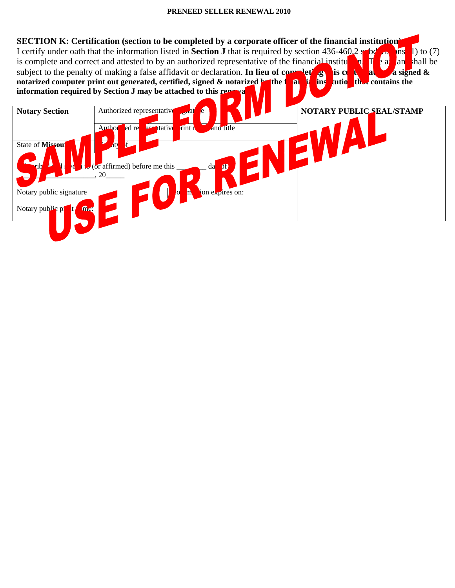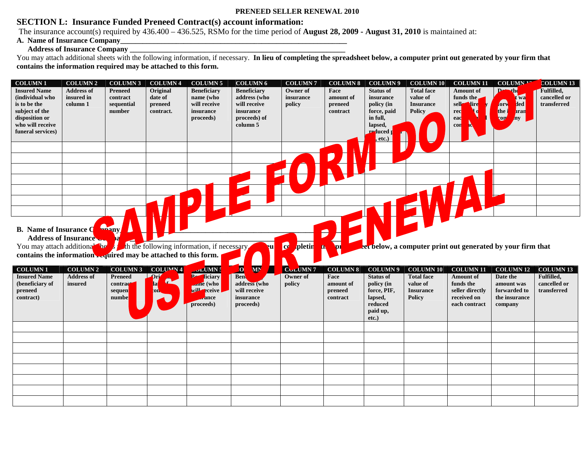# **SECTION L: Insurance Funded Preneed Contract(s) account information:**

The insurance account(s) required by 436.400 – 436.525, RSMo for the time period of **August 28, 2009 - August 31, 2010** is maintained at:

# **A. Name of Insurance Company\_\_\_\_\_\_\_\_\_\_\_\_\_\_\_\_\_\_\_\_\_\_\_\_\_\_\_\_\_\_\_\_\_\_\_\_\_\_\_\_\_\_\_\_\_\_\_\_\_\_\_\_\_\_\_\_\_\_\_\_\_**

## **Address of Insurance Company**

You may attach additional sheets with the following information, if necessary. In lieu of completing the spreadsheet below, a computer print out generated by your firm that **contains the information required may be attached to this form.** 

| <b>Insured Name</b>                                                                                                                                                                                               | <b>COLUMN 2</b>                                 | <b>COLUMN 3</b>                                                  | <b>COLUMN 4</b>                             | <b>COLUMN 5</b>                                                                            | <b>COLUMN 6</b>                                                                                            | <b>COLUMN7</b>                            | <b>COLUMN 8</b>                                             | <b>COLUMN9</b>                                                                                               | <b>COLUMN 10</b>                                                                       | <b>COLUMN 11</b>                                                                                     | COLUMN <sup>1</sup>                                                                                      | <b>COLUMN 13</b>                                              |
|-------------------------------------------------------------------------------------------------------------------------------------------------------------------------------------------------------------------|-------------------------------------------------|------------------------------------------------------------------|---------------------------------------------|--------------------------------------------------------------------------------------------|------------------------------------------------------------------------------------------------------------|-------------------------------------------|-------------------------------------------------------------|--------------------------------------------------------------------------------------------------------------|----------------------------------------------------------------------------------------|------------------------------------------------------------------------------------------------------|----------------------------------------------------------------------------------------------------------|---------------------------------------------------------------|
| (individual who<br>is to be the<br>subject of the<br>disposition or<br>who will receive<br>funeral services)                                                                                                      | <b>Address of</b><br>insured in<br>column 1     | <b>Preneed</b><br>contract<br>sequential<br>number               | Original<br>date of<br>preneed<br>contract. | <b>Beneficiary</b><br>name (who<br>will receive<br>insurance<br>proceeds)                  | <b>Beneficiary</b><br>address (who<br>will receive<br>insurance<br>proceeds) of<br>column 5                | Owner of<br>insurance<br>policy           | Face<br>amount of<br>preneed<br>contract                    | <b>Status of</b><br>insurance<br>policy (in<br>force, paid<br>in full,<br>lapsed,<br>reduced p<br>etc.)<br>Ħ | <b>Total face</b><br>value of<br><b>Insurance</b><br><b>Policy</b>                     | <b>Amount of</b><br>funds the<br>sell<br>lird<br>rec<br>ead<br>con                                   | Ded <sub></sub><br>$\blacksquare$<br>wa<br>forw<br>ded<br>the i<br><b>a</b> ran<br><b>cor</b><br>$\ln y$ | Fulfilled,<br>cancelled or<br>transferred                     |
|                                                                                                                                                                                                                   |                                                 |                                                                  |                                             |                                                                                            |                                                                                                            |                                           |                                                             |                                                                                                              |                                                                                        |                                                                                                      |                                                                                                          |                                                               |
|                                                                                                                                                                                                                   |                                                 |                                                                  |                                             |                                                                                            |                                                                                                            |                                           |                                                             |                                                                                                              |                                                                                        |                                                                                                      |                                                                                                          |                                                               |
|                                                                                                                                                                                                                   |                                                 |                                                                  |                                             |                                                                                            |                                                                                                            |                                           |                                                             |                                                                                                              |                                                                                        |                                                                                                      |                                                                                                          |                                                               |
|                                                                                                                                                                                                                   |                                                 |                                                                  |                                             |                                                                                            |                                                                                                            |                                           |                                                             |                                                                                                              |                                                                                        |                                                                                                      |                                                                                                          |                                                               |
|                                                                                                                                                                                                                   |                                                 |                                                                  |                                             |                                                                                            |                                                                                                            |                                           |                                                             |                                                                                                              |                                                                                        |                                                                                                      |                                                                                                          |                                                               |
| <b>B.</b> Name of Insurance Q<br><b>Address of Insurance</b><br>You may attach additional the solution the following information, if necessary<br>contains the information required may be attached to this form. |                                                 | <b>Amany</b>                                                     |                                             |                                                                                            | eul                                                                                                        | $\bullet$<br><mark>pletin</mark><br>ħ     | P<br><b>DI</b>                                              |                                                                                                              |                                                                                        | eet below, a computer print out generated by your firm that                                          |                                                                                                          |                                                               |
|                                                                                                                                                                                                                   |                                                 |                                                                  |                                             |                                                                                            |                                                                                                            |                                           |                                                             |                                                                                                              |                                                                                        |                                                                                                      |                                                                                                          |                                                               |
| <b>COLUMN1</b><br><b>Insured Name</b><br>(beneficiary of<br>preneed<br>contract)                                                                                                                                  | <b>COLUMN 2</b><br><b>Address of</b><br>insured | <b>COLUMN 3</b><br><b>Preneed</b><br>contract<br>sequen<br>numbe | <b>COLUMN4</b><br>Drj<br>la<br>on.          | $\sim$ LUMN $\frac{1}{2}$<br>R-<br>ficiary<br>ame (who<br>will eceive<br>ance<br>proceeds) | $\overline{\mathbf{0}}$<br>Л<br><b>MN</b><br>Ben<br>address (who<br>will receive<br>insurance<br>proceeds) | CULUMN <sub>7</sub><br>Owner of<br>policy | <b>COLUMN 8</b><br>Face<br>amount of<br>preneed<br>contract | <b>COLUMN9</b><br><b>Status of</b><br>policy (in<br>force, PIF,<br>lapsed,<br>reduced<br>paid up,            | <b>COLUMN 10</b><br><b>Total face</b><br>value of<br><b>Insurance</b><br><b>Policy</b> | <b>COLUMN 11</b><br><b>Amount of</b><br>funds the<br>seller directly<br>received on<br>each contract | <b>COLUMN 12</b><br>Date the<br>amount was<br>forwarded to<br>the insurance<br>company                   | <b>COLUMN 13</b><br>Fulfilled,<br>cancelled or<br>transferred |
|                                                                                                                                                                                                                   |                                                 |                                                                  |                                             |                                                                                            |                                                                                                            |                                           |                                                             | $etc.$ )                                                                                                     |                                                                                        |                                                                                                      |                                                                                                          |                                                               |
|                                                                                                                                                                                                                   |                                                 |                                                                  |                                             |                                                                                            |                                                                                                            |                                           |                                                             |                                                                                                              |                                                                                        |                                                                                                      |                                                                                                          |                                                               |
|                                                                                                                                                                                                                   |                                                 |                                                                  |                                             |                                                                                            |                                                                                                            |                                           |                                                             |                                                                                                              |                                                                                        |                                                                                                      |                                                                                                          |                                                               |
|                                                                                                                                                                                                                   |                                                 |                                                                  |                                             |                                                                                            |                                                                                                            |                                           |                                                             |                                                                                                              |                                                                                        |                                                                                                      |                                                                                                          |                                                               |
|                                                                                                                                                                                                                   |                                                 |                                                                  |                                             |                                                                                            |                                                                                                            |                                           |                                                             |                                                                                                              |                                                                                        |                                                                                                      |                                                                                                          |                                                               |
|                                                                                                                                                                                                                   |                                                 |                                                                  |                                             |                                                                                            |                                                                                                            |                                           |                                                             |                                                                                                              |                                                                                        |                                                                                                      |                                                                                                          |                                                               |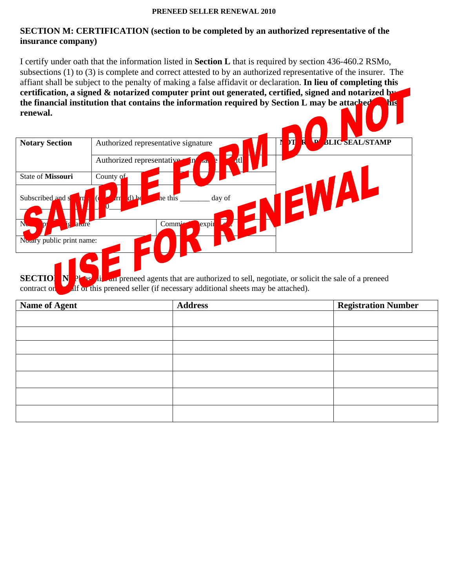# **SECTION M: CERTIFICATION (section to be completed by an authorized representative of the insurance company)**

I certify under oath that the information listed in **Section L** that is required by section 436-460.2 RSMo, subsections (1) to (3) is complete and correct attested to by an authorized representative of the insurer. The affiant shall be subject to the penalty of making a false affidavit or declaration. **In lieu of completing this certification, a signed & notarized computer print out generated, certified, signed and notarized by the financial institution that contains the information required by Section L may be attached to this renewal.** 

| <b>Notary Section</b>     | N<br>$\overline{\bm{v}}$<br>亓<br><b>BLIC SEAL/STAMP</b><br>Authorized representative signature |
|---------------------------|------------------------------------------------------------------------------------------------|
|                           |                                                                                                |
|                           | 4tl<br>Authorized representative<br>ı١<br><b>AG</b>                                            |
| State of Missouri         | County of                                                                                      |
| Subscribed and s          | $\mathbf{r}$<br>$d$ be<br>he this<br>day of                                                    |
| <b>T</b><br>ature         | expir<br>Commi                                                                                 |
| Notary public print name: |                                                                                                |
|                           |                                                                                                |

**SECTION N:** Please list all preneed agents that are authorized to sell, negotiate, or solicit the sale of a preneed contract on  $\mathbf{A}$  of this preneed seller (if necessary additional sheets may be attached).

| <b>Name of Agent</b> | <b>Address</b> | <b>Registration Number</b> |
|----------------------|----------------|----------------------------|
|                      |                |                            |
|                      |                |                            |
|                      |                |                            |
|                      |                |                            |
|                      |                |                            |
|                      |                |                            |
|                      |                |                            |